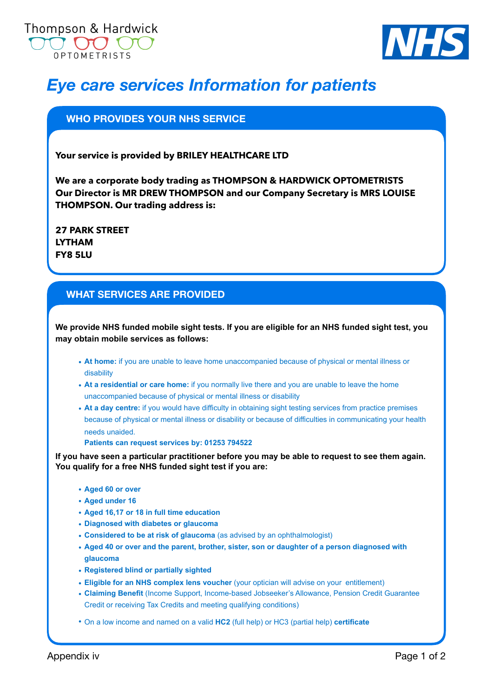



# *Eye care services Information for patients*

## **WHO PROVIDES YOUR NHS SERVICE**

**Your service is provided by BRILEY HEALTHCARE LTD** 

**We are a corporate body trading as THOMPSON & HARDWICK OPTOMETRISTS Our Director is MR DREW THOMPSON and our Company Secretary is MRS LOUISE THOMPSON. Our trading address is:** 

**27 PARK STREET LYTHAM FY8 5LU**

### **WHAT SERVICES ARE PROVIDED**

**We provide NHS funded mobile sight tests. If you are eligible for an NHS funded sight test, you may obtain mobile services as follows:** 

- **• At home:** if you are unable to leave home unaccompanied because of physical or mental illness or disability
- At a residential or care home: if you normally live there and you are unable to leave the home unaccompanied because of physical or mental illness or disability
- **• At a day centre:** if you would have difficulty in obtaining sight testing services from practice premises because of physical or mental illness or disability or because of difficulties in communicating your health needs unaided.

**Patients can request services by: 01253 794522**

**If you have seen a particular practitioner before you may be able to request to see them again. You qualify for a free NHS funded sight test if you are:** 

- **• Aged 60 or over**
- **• Aged under 16**
- **• Aged 16,17 or 18 in full time education**
- **• Diagnosed with diabetes or glaucoma**
- **• Considered to be at risk of glaucoma** (as advised by an ophthalmologist)
- **• Aged 40 or over and the parent, brother, sister, son or daughter of a person diagnosed with glaucoma**
- **• Registered blind or partially sighted**
- **• Eligible for an NHS complex lens voucher** (your optician will advise on your entitlement)
- **• Claiming Benefit** (Income Support, Income-based Jobseeker's Allowance, Pension Credit Guarantee Credit or receiving Tax Credits and meeting qualifying conditions)

**•** On a low income and named on a valid **HC2** (full help) or HC3 (partial help) **certificate**